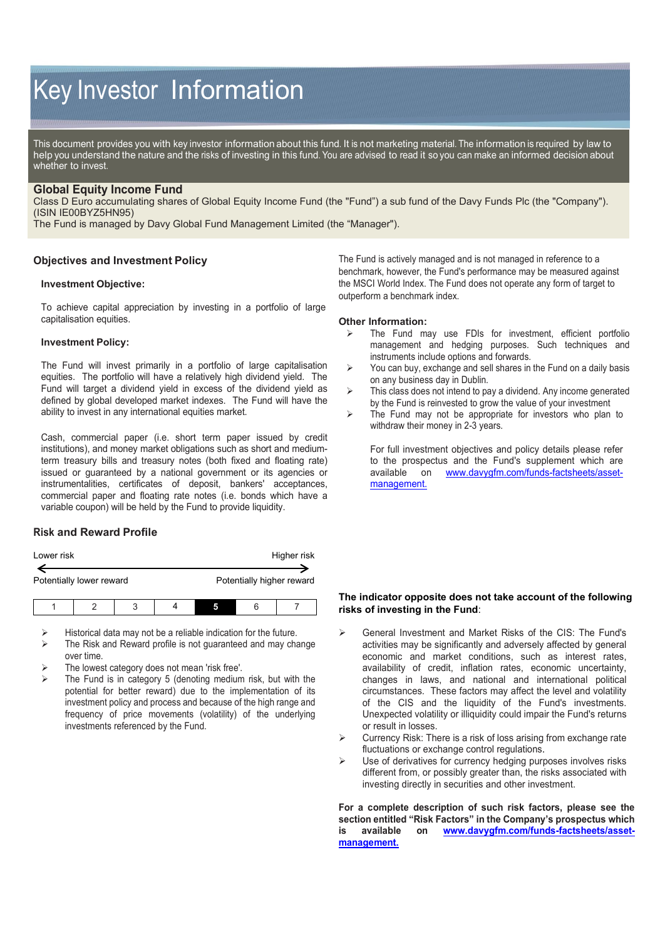# Key Investor Information

This document provides you with key investor information about this fund. It is not marketing material. The information is required by law to help you understand the nature and the risks of investing in this fund. You are advised to read it so you can make an informed decision about whether to invest.

## **Global Equity Income Fund**

Class D Euro accumulating shares of Global Equity Income Fund (the "Fund") a sub fund of the Davy Funds Plc (the "Company"). (ISIN IE00BYZ5HN95)

The Fund is managed by Davy Global Fund Management Limited (the "Manager").

## **Objectives and Investment Policy**

#### **Investment Objective:**

To achieve capital appreciation by investing in a portfolio of large capitalisation equities.

#### **Investment Policy:**

The Fund will invest primarily in a portfolio of large capitalisation equities. The portfolio will have a relatively high dividend yield. The Fund will target a dividend yield in excess of the dividend yield as defined by global developed market indexes. The Fund will have the ability to invest in any international equities market.

Cash, commercial paper (i.e. short term paper issued by credit institutions), and money market obligations such as short and mediumterm treasury bills and treasury notes (both fixed and floating rate) issued or guaranteed by a national government or its agencies or instrumentalities, certificates of deposit, bankers' acceptances, commercial paper and floating rate notes (i.e. bonds which have a variable coupon) will be held by the Fund to provide liquidity.

## **Risk and Reward Profile**

| Lower risk |                          |   |  | Higher risk |   |                           |
|------------|--------------------------|---|--|-------------|---|---------------------------|
|            | Potentially lower reward |   |  |             |   | Potentially higher reward |
|            |                          | 2 |  |             | 6 |                           |

Historical data may not be a reliable indication for the future.

- The Risk and Reward profile is not guaranteed and may change over time.
- The lowest category does not mean 'risk free'.
- The Fund is in category 5 (denoting medium risk, but with the potential for better reward) due to the implementation of its investment policy and process and because of the high range and frequency of price movements (volatility) of the underlying investments referenced by the Fund.

The Fund is actively managed and is not managed in reference to a benchmark, however, the Fund's performance may be measured against the MSCI World Index. The Fund does not operate any form of target to outperform a benchmark index.

#### **Other Information:**

- The Fund may use FDIs for investment, efficient portfolio management and hedging purposes. Such techniques and instruments include options and forwards.
- $\triangleright$  You can buy, exchange and sell shares in the Fund on a daily basis on any business day in Dublin.
- $\triangleright$  This class does not intend to pay a dividend. Any income generated by the Fund is reinvested to grow the value of your investment
- $\triangleright$  The Fund may not be appropriate for investors who plan to withdraw their money in 2-3 years.

For full investment objectives and policy details please refer to the prospectus and the Fund's supplement which are available on www.dayvorfm.com/funds-factsheets/assetwww.davyqfm.com/funds-factsheets/asset[management.](http://www.davygfm.com/funds-factsheets/asset-management)

## **The indicator opposite does not take account of the following risks of investing in the Fund**:

- General Investment and Market Risks of the CIS: The Fund's activities may be significantly and adversely affected by general economic and market conditions, such as interest rates, availability of credit, inflation rates, economic uncertainty, changes in laws, and national and international political circumstances. These factors may affect the level and volatility of the CIS and the liquidity of the Fund's investments. Unexpected volatility or illiquidity could impair the Fund's returns or result in losses.
- Currency Risk: There is a risk of loss arising from exchange rate fluctuations or exchange control regulations.
- Use of derivatives for currency hedging purposes involves risks different from, or possibly greater than, the risks associated with investing directly in securities and other investment.

**For a complete description of such risk factors, please see the section entitled "Risk Factors" in the Company's prospectus which is available on [www.davygfm.com/funds-factsheets/asset](http://www.davygfm.com/funds-factsheets/asset-management)[management.](http://www.davygfm.com/funds-factsheets/asset-management)**